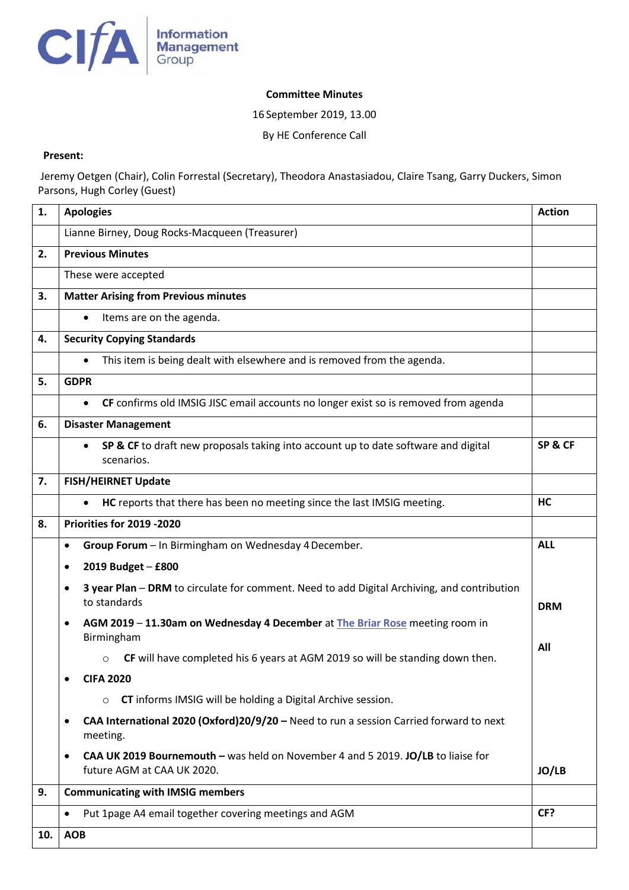

## **Committee Minutes**

16 September 2019, 13.00

By HE Conference Call

## **Present:**

Jeremy Oetgen (Chair), Colin Forrestal (Secretary), Theodora Anastasiadou, Claire Tsang, Garry Duckers, Simon Parsons, Hugh Corley (Guest)

| 1.  | <b>Apologies</b>                                                                                                            | <b>Action</b> |  |  |
|-----|-----------------------------------------------------------------------------------------------------------------------------|---------------|--|--|
|     | Lianne Birney, Doug Rocks-Macqueen (Treasurer)                                                                              |               |  |  |
| 2.  | <b>Previous Minutes</b>                                                                                                     |               |  |  |
|     | These were accepted                                                                                                         |               |  |  |
| 3.  | <b>Matter Arising from Previous minutes</b>                                                                                 |               |  |  |
|     | Items are on the agenda.<br>$\bullet$                                                                                       |               |  |  |
| 4.  | <b>Security Copying Standards</b>                                                                                           |               |  |  |
|     | This item is being dealt with elsewhere and is removed from the agenda.<br>$\bullet$                                        |               |  |  |
| 5.  | <b>GDPR</b>                                                                                                                 |               |  |  |
|     | CF confirms old IMSIG JISC email accounts no longer exist so is removed from agenda<br>$\bullet$                            |               |  |  |
| 6.  | <b>Disaster Management</b>                                                                                                  |               |  |  |
|     | SP & CF to draft new proposals taking into account up to date software and digital                                          | SP&CF         |  |  |
|     | scenarios.                                                                                                                  |               |  |  |
| 7.  | <b>FISH/HEIRNET Update</b>                                                                                                  |               |  |  |
|     | HC reports that there has been no meeting since the last IMSIG meeting.                                                     | HC            |  |  |
| 8.  | Priorities for 2019 -2020                                                                                                   |               |  |  |
|     | Group Forum - In Birmingham on Wednesday 4 December.<br>$\bullet$                                                           | <b>ALL</b>    |  |  |
|     | 2019 Budget - £800<br>$\bullet$                                                                                             |               |  |  |
|     | 3 year Plan - DRM to circulate for comment. Need to add Digital Archiving, and contribution<br>$\bullet$<br>to standards    | <b>DRM</b>    |  |  |
|     | AGM 2019 - 11.30am on Wednesday 4 December at The Briar Rose meeting room in<br>$\bullet$                                   |               |  |  |
|     | Birmingham                                                                                                                  | All           |  |  |
|     | CF will have completed his 6 years at AGM 2019 so will be standing down then.<br>$\circ$                                    |               |  |  |
|     | <b>CIFA 2020</b>                                                                                                            |               |  |  |
|     | <b>CT</b> informs IMSIG will be holding a Digital Archive session.<br>$\circ$                                               |               |  |  |
|     | CAA International 2020 (Oxford)20/9/20 - Need to run a session Carried forward to next<br>$\bullet$<br>meeting.             |               |  |  |
|     | CAA UK 2019 Bournemouth - was held on November 4 and 5 2019. JO/LB to liaise for<br>$\bullet$<br>future AGM at CAA UK 2020. | JO/LB         |  |  |
| 9.  | <b>Communicating with IMSIG members</b>                                                                                     |               |  |  |
|     | Put 1page A4 email together covering meetings and AGM<br>$\bullet$                                                          | CF?           |  |  |
| 10. | <b>AOB</b>                                                                                                                  |               |  |  |